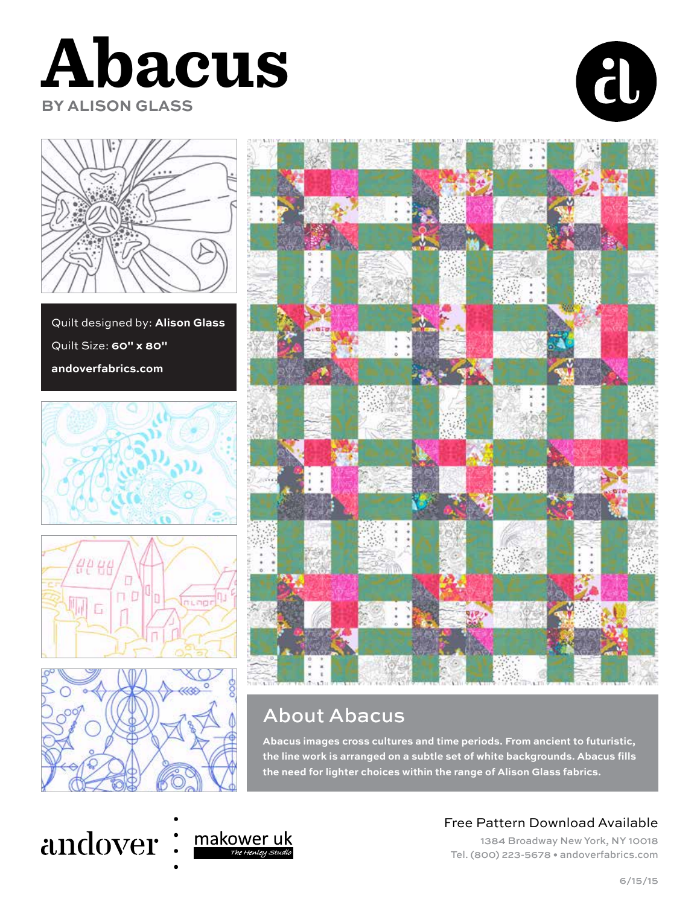





Quilt designed by: **Alison Glass** Quilt Size: **60" x 80" andoverfabrics.com**









## About Abacus

**Abacus images cross cultures and time periods. From ancient to futuristic,**  the line work is arranged on a subtle set of white backgrounds. Abacus fills **the need for lighter choices within the range of Alison Glass fabrics.**

## andover: makoweruk



## Free Pattern Download Available

1384 Broadway New York, NY 10018 Tel. (800) 223-5678 • andoverfabrics.com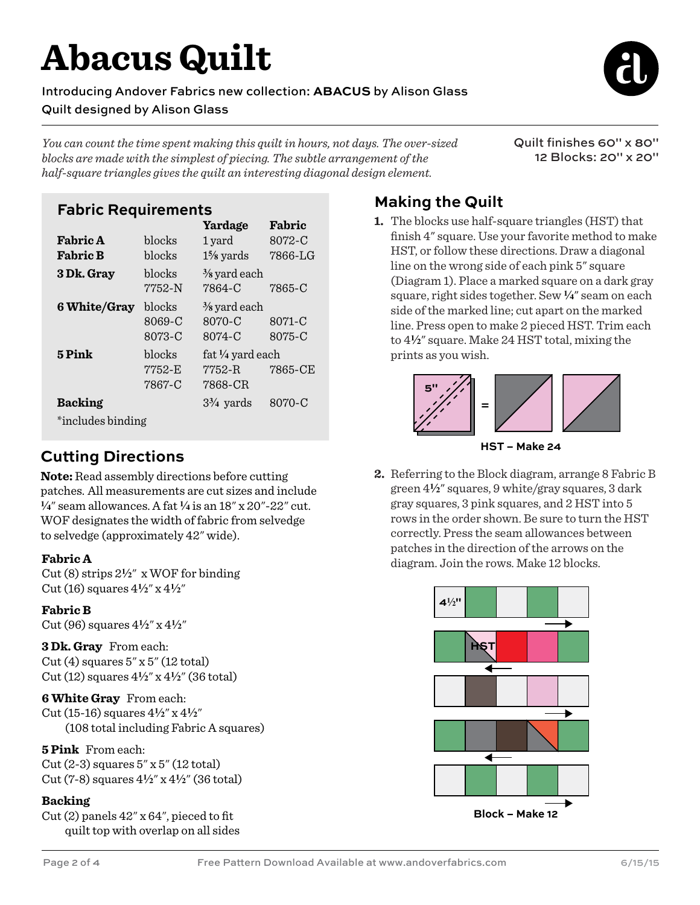# **Abacus Quilt**

Introducing Andover Fabrics new collection: **ABACUS** by Alison Glass Quilt designed by Alison Glass

*You can count the time spent making this quilt in hours, not days. The over-sized blocks are made with the simplest of piecing. The subtle arrangement of the half-square triangles gives the quilt an interesting diagonal design element.* 

Quilt finishes 60" x 80" 12 Blocks: 20" x 20"

### **Fabric Requirements**

|                   |                            | Yardage                                     | Fabric           |
|-------------------|----------------------------|---------------------------------------------|------------------|
| <b>Fabric A</b>   | blocks                     | 1 yard                                      | 8072-C           |
| <b>Fabric B</b>   | blocks                     | $1\frac{5}{8}$ yards                        | 7866-LG          |
| 3 Dk. Gray        | blocks<br>7752-N           | $\frac{3}{8}$ yard each<br>7864-C           | 7865-C           |
| 6 White/Gray      | blocks<br>8069-C<br>8073-C | $\frac{3}{8}$ yard each<br>8070-C<br>8074-C | 8071-C<br>8075-C |
| 5 Pink            | blocks<br>7752-E<br>7867-C | fat 1/4 yard each<br>7752-R<br>7868-CR      | 7865-CE          |
| <b>Backing</b>    |                            | $3\frac{3}{4}$ yards                        | 8070-C           |
| *includes binding |                            |                                             |                  |

## **Cutting Directions**

**Note:** Read assembly directions before cutting patches. All measurements are cut sizes and include **4**" seam allowances. A fat **4** is an 18" x 20"-22" cut. WOF designates the width of fabric from selvedge to selvedge (approximately 42" wide).

#### **Fabric A**

Cut (8) strips 2**2**" x WOF for binding Cut (16) squares 4**2**" x 4**2**"

#### **Fabric B**

Cut (96) squares 4**2**" x 4**2**"

**3 Dk. Gray** From each:  $Cut(4)$  squares  $5''$  x  $5''$  (12 total) Cut (12) squares 4**2**" x 4**2**" (36 total)

#### **6 White Gray** From each:

Cut (15-16) squares 4**2**" x 4**2**" (108 total including Fabric A squares)

#### **5 Pink** From each:

Cut (2-3) squares 5" x 5" (12 total) Cut (7-8) squares 4**2**" x 4**2**" (36 total)

#### **Backing**

Cut (2) panels 42" x 64", pieced to fit quilt top with overlap on all sides

## **Making the Quilt**

**1.** The blocks use half-square triangles (HST) that finish 4" square. Use your favorite method to make HST, or follow these directions. Draw a diagonal line on the wrong side of each pink 5" square (Diagram 1). Place a marked square on a dark gray square, right sides together. Sew **4**" seam on each side of the marked line; cut apart on the marked line. Press open to make 2 pieced HST. Trim each to 4**2**" square. Make 24 HST total, mixing the prints as you wish.





**2.** Referring to the Block diagram, arrange 8 Fabric B green 4**2**" squares, 9 white/gray squares, 3 dark gray squares, 3 pink squares, and 2 HST into 5 rows in the order shown. Be sure to turn the HST correctly. Press the seam allowances between patches in the direction of the arrows on the diagram. Join the rows. Make 12 blocks.

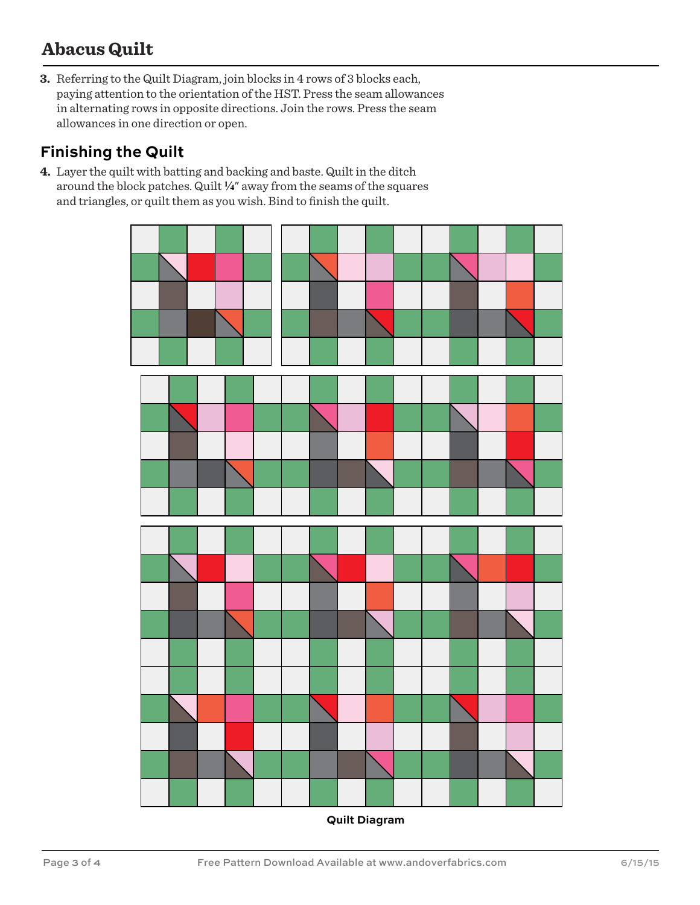## **Abacus Quilt**

**3.** Referring to the Quilt Diagram, join blocks in 4 rows of 3 blocks each, paying attention to the orientation of the HST. Press the seam allowances in alternating rows in opposite directions. Join the rows. Press the seam allowances in one direction or open.

### **Finishing the Quilt**

**4.** Layer the quilt with batting and backing and baste. Quilt in the ditch around the block patches. Quilt **4**" away from the seams of the squares and triangles, or quilt them as you wish. Bind to finish the quilt.